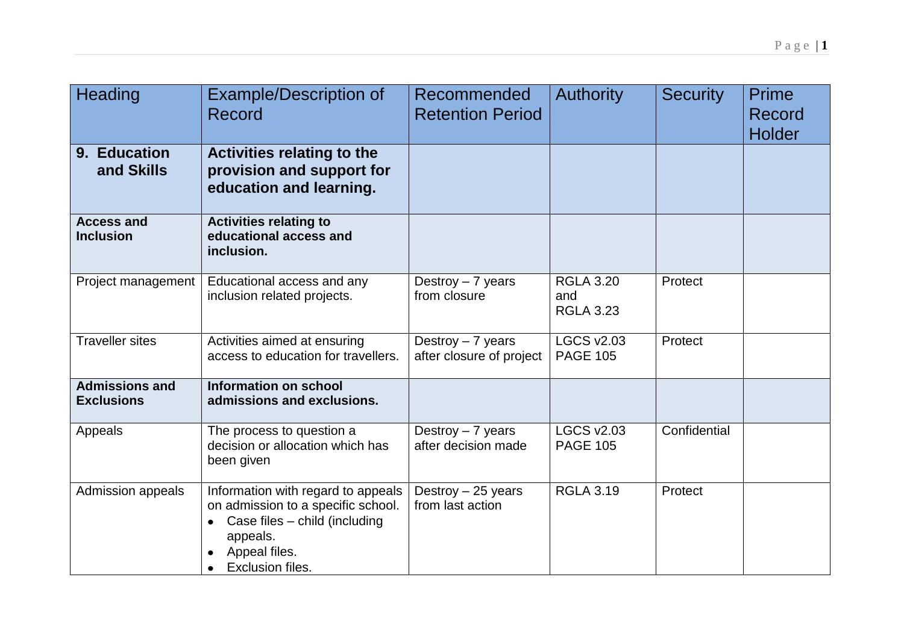| Heading                                    | <b>Example/Description of</b><br>Record                                                                                                                    | Recommended<br><b>Retention Period</b>        | <b>Authority</b>                            | <b>Security</b> | <b>Prime</b><br>Record<br><b>Holder</b> |
|--------------------------------------------|------------------------------------------------------------------------------------------------------------------------------------------------------------|-----------------------------------------------|---------------------------------------------|-----------------|-----------------------------------------|
| 9. Education<br>and Skills                 | <b>Activities relating to the</b><br>provision and support for<br>education and learning.                                                                  |                                               |                                             |                 |                                         |
| <b>Access and</b><br><b>Inclusion</b>      | <b>Activities relating to</b><br>educational access and<br>inclusion.                                                                                      |                                               |                                             |                 |                                         |
| Project management                         | Educational access and any<br>inclusion related projects.                                                                                                  | Destroy $-7$ years<br>from closure            | <b>RGLA 3.20</b><br>and<br><b>RGLA 3.23</b> | Protect         |                                         |
| <b>Traveller sites</b>                     | Activities aimed at ensuring<br>access to education for travellers.                                                                                        | Destroy - 7 years<br>after closure of project | <b>LGCS v2.03</b><br><b>PAGE 105</b>        | Protect         |                                         |
| <b>Admissions and</b><br><b>Exclusions</b> | Information on school<br>admissions and exclusions.                                                                                                        |                                               |                                             |                 |                                         |
| Appeals                                    | The process to question a<br>decision or allocation which has<br>been given                                                                                | Destroy $-7$ years<br>after decision made     | <b>LGCS v2.03</b><br><b>PAGE 105</b>        | Confidential    |                                         |
| Admission appeals                          | Information with regard to appeals<br>on admission to a specific school.<br>Case files - child (including<br>appeals.<br>Appeal files.<br>Exclusion files. | Destroy $-25$ years<br>from last action       | <b>RGLA 3.19</b>                            | Protect         |                                         |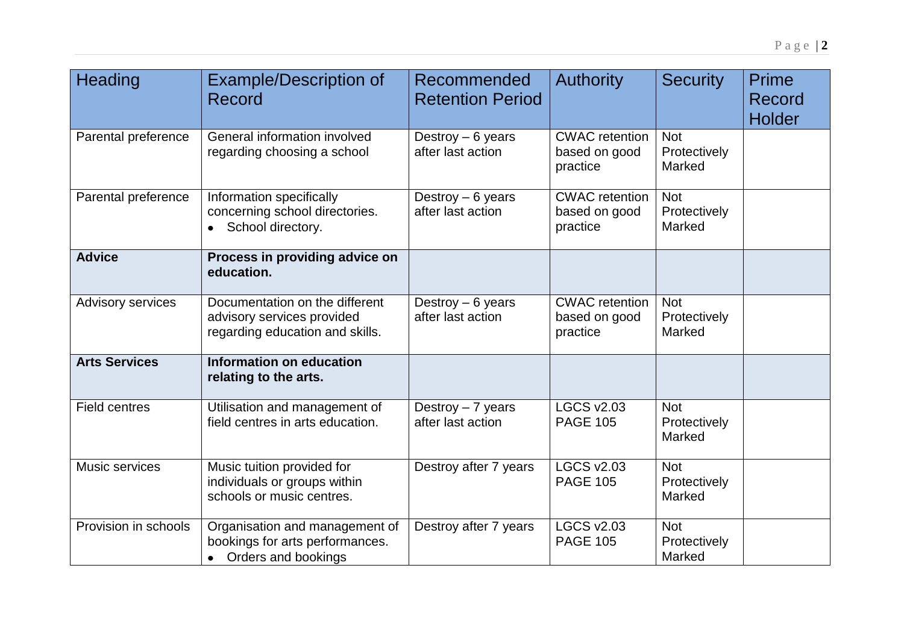| Heading                  | <b>Example/Description of</b><br>Record                                                         | Recommended<br><b>Retention Period</b>  | <b>Authority</b>                                   | <b>Security</b>                      | Prime<br>Record<br><b>Holder</b> |
|--------------------------|-------------------------------------------------------------------------------------------------|-----------------------------------------|----------------------------------------------------|--------------------------------------|----------------------------------|
| Parental preference      | General information involved<br>regarding choosing a school                                     | Destroy $-6$ years<br>after last action | <b>CWAC</b> retention<br>based on good<br>practice | <b>Not</b><br>Protectively<br>Marked |                                  |
| Parental preference      | Information specifically<br>concerning school directories.<br>School directory.<br>$\bullet$    | Destroy $-6$ years<br>after last action | <b>CWAC</b> retention<br>based on good<br>practice | <b>Not</b><br>Protectively<br>Marked |                                  |
| <b>Advice</b>            | Process in providing advice on<br>education.                                                    |                                         |                                                    |                                      |                                  |
| <b>Advisory services</b> | Documentation on the different<br>advisory services provided<br>regarding education and skills. | Destroy $-6$ years<br>after last action | <b>CWAC</b> retention<br>based on good<br>practice | <b>Not</b><br>Protectively<br>Marked |                                  |
| <b>Arts Services</b>     | Information on education<br>relating to the arts.                                               |                                         |                                                    |                                      |                                  |
| <b>Field centres</b>     | Utilisation and management of<br>field centres in arts education.                               | Destroy $-7$ years<br>after last action | <b>LGCS v2.03</b><br><b>PAGE 105</b>               | <b>Not</b><br>Protectively<br>Marked |                                  |
| Music services           | Music tuition provided for<br>individuals or groups within<br>schools or music centres.         | Destroy after 7 years                   | <b>LGCS v2.03</b><br><b>PAGE 105</b>               | <b>Not</b><br>Protectively<br>Marked |                                  |
| Provision in schools     | Organisation and management of<br>bookings for arts performances.<br>• Orders and bookings      | Destroy after 7 years                   | <b>LGCS v2.03</b><br><b>PAGE 105</b>               | <b>Not</b><br>Protectively<br>Marked |                                  |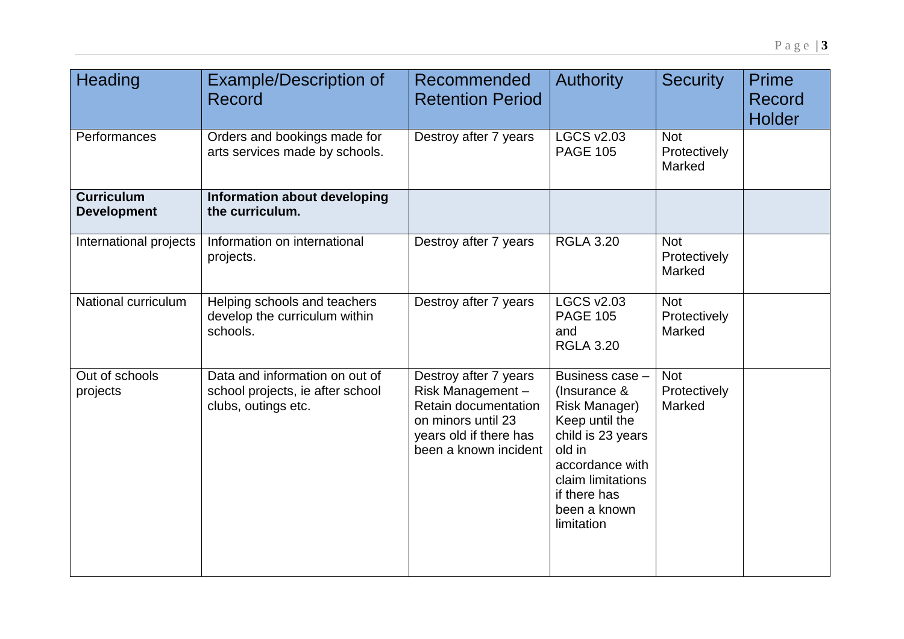| Heading                                 | <b>Example/Description of</b><br>Record                                                   | Recommended<br><b>Retention Period</b>                                                                                                     | <b>Authority</b>                                                                                                                                                                               | <b>Security</b>                      | <b>Prime</b><br>Record<br><b>Holder</b> |
|-----------------------------------------|-------------------------------------------------------------------------------------------|--------------------------------------------------------------------------------------------------------------------------------------------|------------------------------------------------------------------------------------------------------------------------------------------------------------------------------------------------|--------------------------------------|-----------------------------------------|
| Performances                            | Orders and bookings made for<br>arts services made by schools.                            | Destroy after 7 years                                                                                                                      | <b>LGCS v2.03</b><br><b>PAGE 105</b>                                                                                                                                                           | <b>Not</b><br>Protectively<br>Marked |                                         |
| <b>Curriculum</b><br><b>Development</b> | Information about developing<br>the curriculum.                                           |                                                                                                                                            |                                                                                                                                                                                                |                                      |                                         |
| International projects                  | Information on international<br>projects.                                                 | Destroy after 7 years                                                                                                                      | <b>RGLA 3.20</b>                                                                                                                                                                               | <b>Not</b><br>Protectively<br>Marked |                                         |
| National curriculum                     | Helping schools and teachers<br>develop the curriculum within<br>schools.                 | Destroy after 7 years                                                                                                                      | <b>LGCS v2.03</b><br><b>PAGE 105</b><br>and<br><b>RGLA 3.20</b>                                                                                                                                | <b>Not</b><br>Protectively<br>Marked |                                         |
| Out of schools<br>projects              | Data and information on out of<br>school projects, ie after school<br>clubs, outings etc. | Destroy after 7 years<br>Risk Management-<br>Retain documentation<br>on minors until 23<br>years old if there has<br>been a known incident | Business case -<br>(Insurance &<br><b>Risk Manager)</b><br>Keep until the<br>child is 23 years<br>old in<br>accordance with<br>claim limitations<br>if there has<br>been a known<br>limitation | <b>Not</b><br>Protectively<br>Marked |                                         |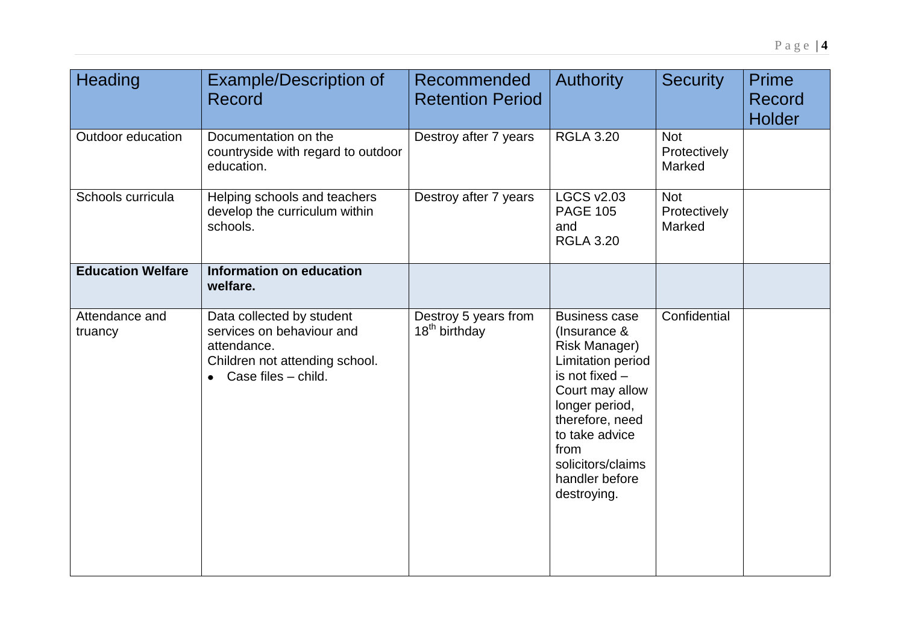| Heading                   | <b>Example/Description of</b><br>Record                                                                                                  | Recommended<br><b>Retention Period</b>            | <b>Authority</b>                                                                                                                                                                                                                     | <b>Security</b>                      | <b>Prime</b><br>Record<br><b>Holder</b> |
|---------------------------|------------------------------------------------------------------------------------------------------------------------------------------|---------------------------------------------------|--------------------------------------------------------------------------------------------------------------------------------------------------------------------------------------------------------------------------------------|--------------------------------------|-----------------------------------------|
| Outdoor education         | Documentation on the<br>countryside with regard to outdoor<br>education.                                                                 | Destroy after 7 years                             | <b>RGLA 3.20</b>                                                                                                                                                                                                                     | <b>Not</b><br>Protectively<br>Marked |                                         |
| Schools curricula         | Helping schools and teachers<br>develop the curriculum within<br>schools.                                                                | Destroy after 7 years                             | <b>LGCS v2.03</b><br><b>PAGE 105</b><br>and<br><b>RGLA 3.20</b>                                                                                                                                                                      | <b>Not</b><br>Protectively<br>Marked |                                         |
| <b>Education Welfare</b>  | Information on education<br>welfare.                                                                                                     |                                                   |                                                                                                                                                                                                                                      |                                      |                                         |
| Attendance and<br>truancy | Data collected by student<br>services on behaviour and<br>attendance.<br>Children not attending school.<br>$\bullet$ Case files – child. | Destroy 5 years from<br>18 <sup>th</sup> birthday | <b>Business case</b><br>(Insurance &<br>Risk Manager)<br>Limitation period<br>is not fixed -<br>Court may allow<br>longer period,<br>therefore, need<br>to take advice<br>from<br>solicitors/claims<br>handler before<br>destroying. | Confidential                         |                                         |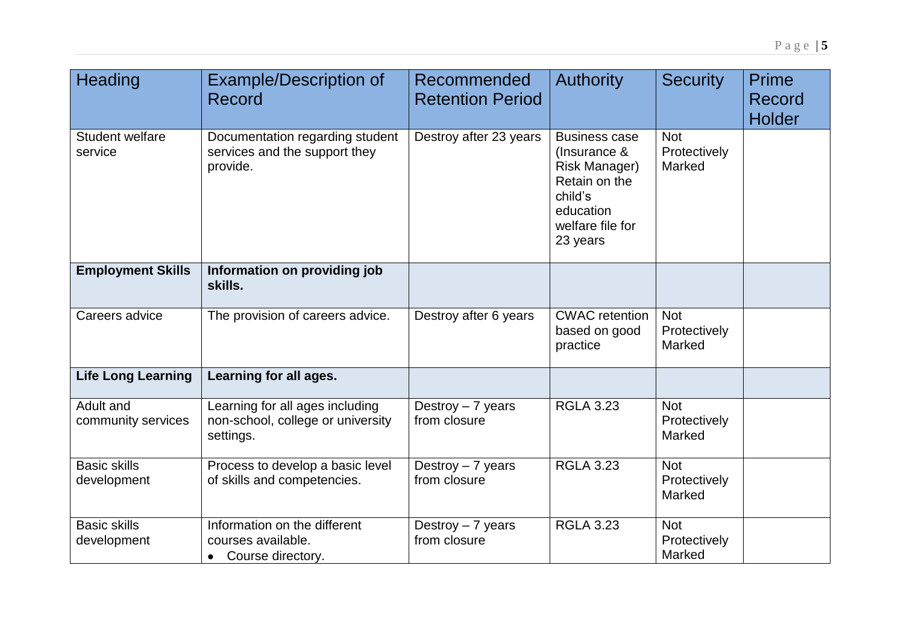| Heading                            | <b>Example/Description of</b><br>Record                                           | Recommended<br><b>Retention Period</b> | <b>Authority</b>                                                                                                                      | <b>Security</b>                      | <b>Prime</b><br>Record<br><b>Holder</b> |
|------------------------------------|-----------------------------------------------------------------------------------|----------------------------------------|---------------------------------------------------------------------------------------------------------------------------------------|--------------------------------------|-----------------------------------------|
| <b>Student welfare</b><br>service  | Documentation regarding student<br>services and the support they<br>provide.      | Destroy after 23 years                 | <b>Business case</b><br>(Insurance &<br><b>Risk Manager)</b><br>Retain on the<br>child's<br>education<br>welfare file for<br>23 years | <b>Not</b><br>Protectively<br>Marked |                                         |
| <b>Employment Skills</b>           | Information on providing job<br>skills.                                           |                                        |                                                                                                                                       |                                      |                                         |
| Careers advice                     | The provision of careers advice.                                                  | Destroy after 6 years                  | <b>CWAC</b> retention<br>based on good<br>practice                                                                                    | <b>Not</b><br>Protectively<br>Marked |                                         |
| <b>Life Long Learning</b>          | Learning for all ages.                                                            |                                        |                                                                                                                                       |                                      |                                         |
| Adult and<br>community services    | Learning for all ages including<br>non-school, college or university<br>settings. | Destroy $-7$ years<br>from closure     | RGLA $3.\overline{23}$                                                                                                                | <b>Not</b><br>Protectively<br>Marked |                                         |
| <b>Basic skills</b><br>development | Process to develop a basic level<br>of skills and competencies.                   | Destroy - 7 years<br>from closure      | <b>RGLA 3.23</b>                                                                                                                      | <b>Not</b><br>Protectively<br>Marked |                                         |
| <b>Basic skills</b><br>development | Information on the different<br>courses available.<br>• Course directory.         | Destroy $-7$ years<br>from closure     | <b>RGLA 3.23</b>                                                                                                                      | <b>Not</b><br>Protectively<br>Marked |                                         |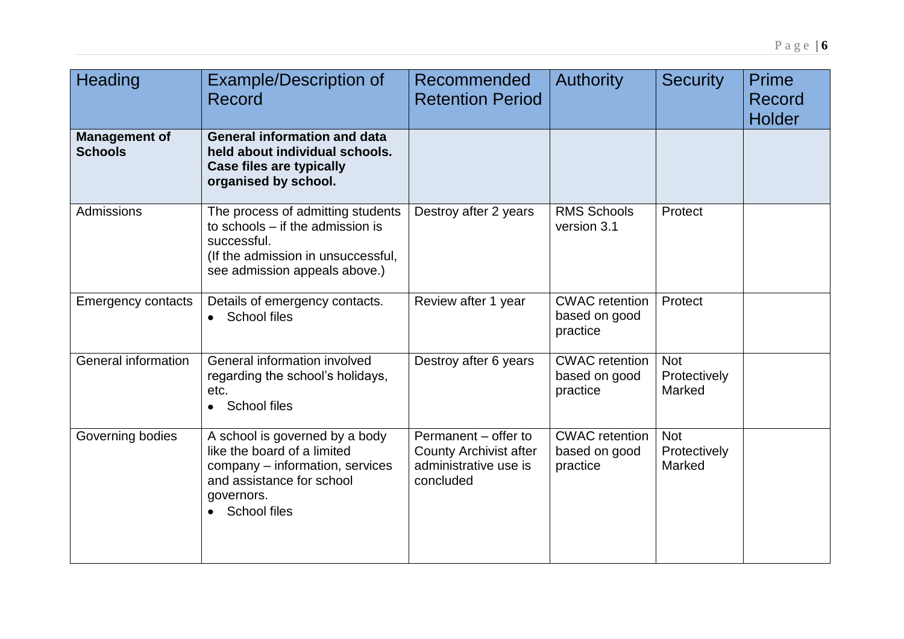| Heading                                | <b>Example/Description of</b><br>Record                                                                                                                            | Recommended<br><b>Retention Period</b>                                                      | <b>Authority</b>                                   | <b>Security</b>                      | Prime<br>Record<br><b>Holder</b> |
|----------------------------------------|--------------------------------------------------------------------------------------------------------------------------------------------------------------------|---------------------------------------------------------------------------------------------|----------------------------------------------------|--------------------------------------|----------------------------------|
| <b>Management of</b><br><b>Schools</b> | <b>General information and data</b><br>held about individual schools.<br>Case files are typically<br>organised by school.                                          |                                                                                             |                                                    |                                      |                                  |
| Admissions                             | The process of admitting students<br>to schools – if the admission is<br>successful.<br>(If the admission in unsuccessful,<br>see admission appeals above.)        | Destroy after 2 years                                                                       | <b>RMS Schools</b><br>version 3.1                  | Protect                              |                                  |
| <b>Emergency contacts</b>              | Details of emergency contacts.<br><b>School files</b><br>$\bullet$                                                                                                 | Review after 1 year                                                                         | <b>CWAC</b> retention<br>based on good<br>practice | Protect                              |                                  |
| General information                    | General information involved<br>regarding the school's holidays,<br>etc.<br><b>School files</b><br>$\bullet$                                                       | Destroy after 6 years                                                                       | <b>CWAC</b> retention<br>based on good<br>practice | <b>Not</b><br>Protectively<br>Marked |                                  |
| Governing bodies                       | A school is governed by a body<br>like the board of a limited<br>company - information, services<br>and assistance for school<br>governors.<br><b>School files</b> | Permanent - offer to<br><b>County Archivist after</b><br>administrative use is<br>concluded | <b>CWAC</b> retention<br>based on good<br>practice | <b>Not</b><br>Protectively<br>Marked |                                  |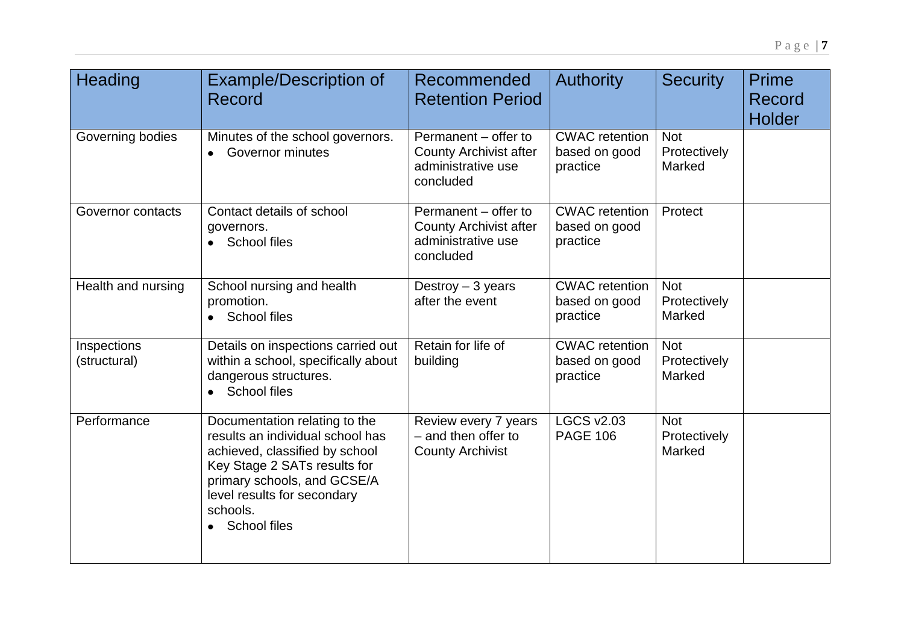| <b>Heading</b>              | <b>Example/Description of</b><br>Record                                                                                                                                                                                                           | Recommended<br><b>Retention Period</b>                                                   | <b>Authority</b>                                   | <b>Security</b>                      | Prime<br>Record<br><b>Holder</b> |
|-----------------------------|---------------------------------------------------------------------------------------------------------------------------------------------------------------------------------------------------------------------------------------------------|------------------------------------------------------------------------------------------|----------------------------------------------------|--------------------------------------|----------------------------------|
| Governing bodies            | Minutes of the school governors.<br><b>Governor minutes</b>                                                                                                                                                                                       | Permanent – offer to<br><b>County Archivist after</b><br>administrative use<br>concluded | <b>CWAC</b> retention<br>based on good<br>practice | <b>Not</b><br>Protectively<br>Marked |                                  |
| Governor contacts           | Contact details of school<br>governors.<br>School files<br>$\bullet$                                                                                                                                                                              | Permanent - offer to<br><b>County Archivist after</b><br>administrative use<br>concluded | <b>CWAC</b> retention<br>based on good<br>practice | Protect                              |                                  |
| Health and nursing          | School nursing and health<br>promotion.<br><b>School files</b><br>$\bullet$                                                                                                                                                                       | Destroy $-3$ years<br>after the event                                                    | <b>CWAC</b> retention<br>based on good<br>practice | <b>Not</b><br>Protectively<br>Marked |                                  |
| Inspections<br>(structural) | Details on inspections carried out<br>within a school, specifically about<br>dangerous structures.<br>• School files                                                                                                                              | Retain for life of<br>building                                                           | <b>CWAC</b> retention<br>based on good<br>practice | <b>Not</b><br>Protectively<br>Marked |                                  |
| Performance                 | Documentation relating to the<br>results an individual school has<br>achieved, classified by school<br>Key Stage 2 SATs results for<br>primary schools, and GCSE/A<br>level results for secondary<br>schools.<br><b>School files</b><br>$\bullet$ | Review every 7 years<br>- and then offer to<br><b>County Archivist</b>                   | <b>LGCS v2.03</b><br><b>PAGE 106</b>               | <b>Not</b><br>Protectively<br>Marked |                                  |